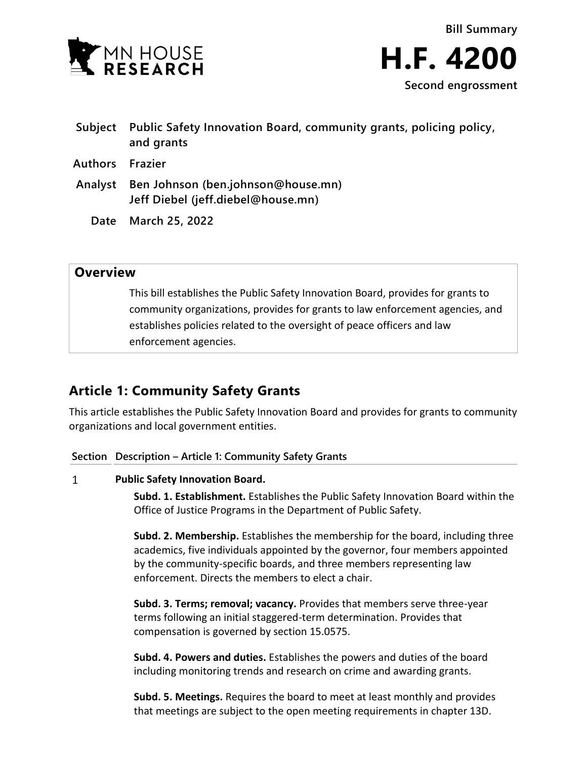

- **Subject Public Safety Innovation Board, community grants, policing policy, and grants**
- **Authors Frazier**
- **Analyst Ben Johnson (ben.johnson@house.mn) Jeff Diebel (jeff.diebel@house.mn)**
	- **Date March 25, 2022**

## **Overview**

This bill establishes the Public Safety Innovation Board, provides for grants to community organizations, provides for grants to law enforcement agencies, and establishes policies related to the oversight of peace officers and law enforcement agencies.

## **Article 1: Community Safety Grants**

This article establishes the Public Safety Innovation Board and provides for grants to community organizations and local government entities.

### **Section Description – Article 1: Community Safety Grants**

#### $\mathbf{1}$ **Public Safety Innovation Board.**

**Subd. 1. Establishment.** Establishes the Public Safety Innovation Board within the Office of Justice Programs in the Department of Public Safety.

**Subd. 2. Membership.** Establishes the membership for the board, including three academics, five individuals appointed by the governor, four members appointed by the community-specific boards, and three members representing law enforcement. Directs the members to elect a chair.

**Subd. 3. Terms; removal; vacancy.** Provides that members serve three-year terms following an initial staggered-term determination. Provides that compensation is governed by section 15.0575.

**Subd. 4. Powers and duties.** Establishes the powers and duties of the board including monitoring trends and research on crime and awarding grants.

**Subd. 5. Meetings.** Requires the board to meet at least monthly and provides that meetings are subject to the open meeting requirements in chapter 13D.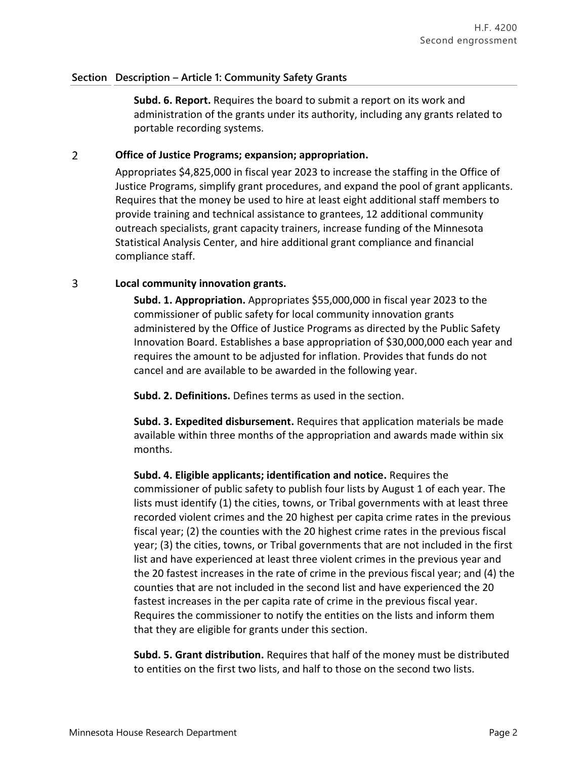### **Section Description – Article 1: Community Safety Grants**

**Subd. 6. Report.** Requires the board to submit a report on its work and administration of the grants under its authority, including any grants related to portable recording systems.

#### $\overline{2}$ **Office of Justice Programs; expansion; appropriation.**

Appropriates \$4,825,000 in fiscal year 2023 to increase the staffing in the Office of Justice Programs, simplify grant procedures, and expand the pool of grant applicants. Requires that the money be used to hire at least eight additional staff members to provide training and technical assistance to grantees, 12 additional community outreach specialists, grant capacity trainers, increase funding of the Minnesota Statistical Analysis Center, and hire additional grant compliance and financial compliance staff.

#### 3 **Local community innovation grants.**

**Subd. 1. Appropriation.** Appropriates \$55,000,000 in fiscal year 2023 to the commissioner of public safety for local community innovation grants administered by the Office of Justice Programs as directed by the Public Safety Innovation Board. Establishes a base appropriation of \$30,000,000 each year and requires the amount to be adjusted for inflation. Provides that funds do not cancel and are available to be awarded in the following year.

**Subd. 2. Definitions.** Defines terms as used in the section.

**Subd. 3. Expedited disbursement.** Requires that application materials be made available within three months of the appropriation and awards made within six months.

**Subd. 4. Eligible applicants; identification and notice.** Requires the commissioner of public safety to publish four lists by August 1 of each year. The lists must identify (1) the cities, towns, or Tribal governments with at least three recorded violent crimes and the 20 highest per capita crime rates in the previous fiscal year; (2) the counties with the 20 highest crime rates in the previous fiscal year; (3) the cities, towns, or Tribal governments that are not included in the first list and have experienced at least three violent crimes in the previous year and the 20 fastest increases in the rate of crime in the previous fiscal year; and (4) the counties that are not included in the second list and have experienced the 20 fastest increases in the per capita rate of crime in the previous fiscal year. Requires the commissioner to notify the entities on the lists and inform them that they are eligible for grants under this section.

**Subd. 5. Grant distribution.** Requires that half of the money must be distributed to entities on the first two lists, and half to those on the second two lists.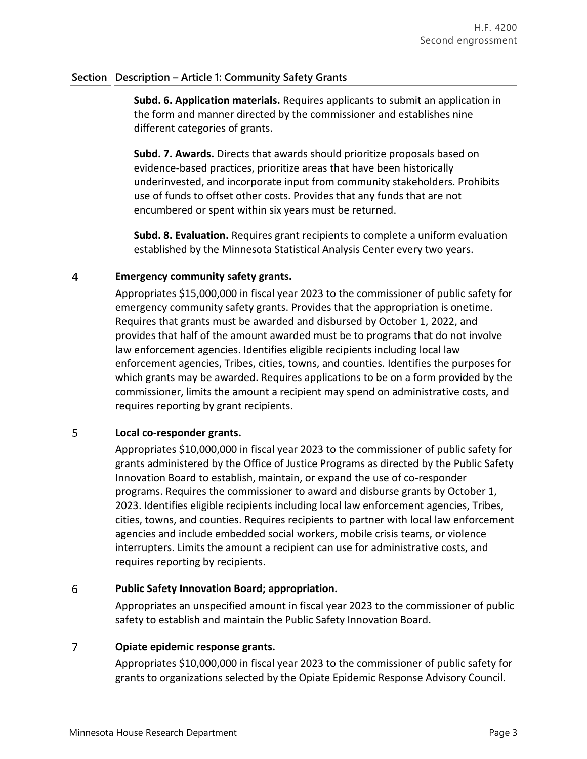### **Section Description – Article 1: Community Safety Grants**

**Subd. 6. Application materials.** Requires applicants to submit an application in the form and manner directed by the commissioner and establishes nine different categories of grants.

**Subd. 7. Awards.** Directs that awards should prioritize proposals based on evidence-based practices, prioritize areas that have been historically underinvested, and incorporate input from community stakeholders. Prohibits use of funds to offset other costs. Provides that any funds that are not encumbered or spent within six years must be returned.

**Subd. 8. Evaluation.** Requires grant recipients to complete a uniform evaluation established by the Minnesota Statistical Analysis Center every two years.

#### $\overline{4}$ **Emergency community safety grants.**

Appropriates \$15,000,000 in fiscal year 2023 to the commissioner of public safety for emergency community safety grants. Provides that the appropriation is onetime. Requires that grants must be awarded and disbursed by October 1, 2022, and provides that half of the amount awarded must be to programs that do not involve law enforcement agencies. Identifies eligible recipients including local law enforcement agencies, Tribes, cities, towns, and counties. Identifies the purposes for which grants may be awarded. Requires applications to be on a form provided by the commissioner, limits the amount a recipient may spend on administrative costs, and requires reporting by grant recipients.

#### 5 **Local co-responder grants.**

Appropriates \$10,000,000 in fiscal year 2023 to the commissioner of public safety for grants administered by the Office of Justice Programs as directed by the Public Safety Innovation Board to establish, maintain, or expand the use of co-responder programs. Requires the commissioner to award and disburse grants by October 1, 2023. Identifies eligible recipients including local law enforcement agencies, Tribes, cities, towns, and counties. Requires recipients to partner with local law enforcement agencies and include embedded social workers, mobile crisis teams, or violence interrupters. Limits the amount a recipient can use for administrative costs, and requires reporting by recipients.

#### 6 **Public Safety Innovation Board; appropriation.**

Appropriates an unspecified amount in fiscal year 2023 to the commissioner of public safety to establish and maintain the Public Safety Innovation Board.

#### $\overline{7}$ **Opiate epidemic response grants.**

Appropriates \$10,000,000 in fiscal year 2023 to the commissioner of public safety for grants to organizations selected by the Opiate Epidemic Response Advisory Council.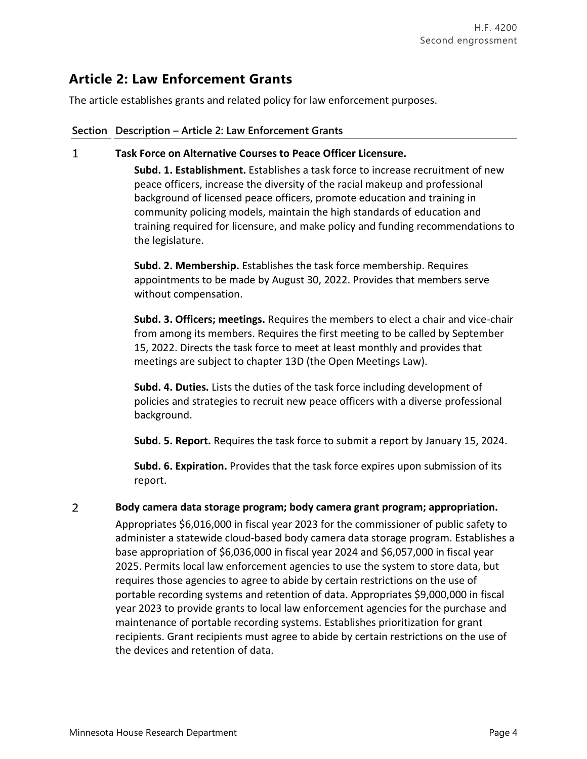# **Article 2: Law Enforcement Grants**

The article establishes grants and related policy for law enforcement purposes.

### **Section Description – Article 2: Law Enforcement Grants**

 $\mathbf{1}$ 

### **Task Force on Alternative Courses to Peace Officer Licensure.**

**Subd. 1. Establishment.** Establishes a task force to increase recruitment of new peace officers, increase the diversity of the racial makeup and professional background of licensed peace officers, promote education and training in community policing models, maintain the high standards of education and training required for licensure, and make policy and funding recommendations to the legislature.

**Subd. 2. Membership.** Establishes the task force membership. Requires appointments to be made by August 30, 2022. Provides that members serve without compensation.

**Subd. 3. Officers; meetings.** Requires the members to elect a chair and vice-chair from among its members. Requires the first meeting to be called by September 15, 2022. Directs the task force to meet at least monthly and provides that meetings are subject to chapter 13D (the Open Meetings Law).

**Subd. 4. Duties.** Lists the duties of the task force including development of policies and strategies to recruit new peace officers with a diverse professional background.

**Subd. 5. Report.** Requires the task force to submit a report by January 15, 2024.

**Subd. 6. Expiration.** Provides that the task force expires upon submission of its report.

#### $\overline{2}$ **Body camera data storage program; body camera grant program; appropriation.**

Appropriates \$6,016,000 in fiscal year 2023 for the commissioner of public safety to administer a statewide cloud-based body camera data storage program. Establishes a base appropriation of \$6,036,000 in fiscal year 2024 and \$6,057,000 in fiscal year 2025. Permits local law enforcement agencies to use the system to store data, but requires those agencies to agree to abide by certain restrictions on the use of portable recording systems and retention of data. Appropriates \$9,000,000 in fiscal year 2023 to provide grants to local law enforcement agencies for the purchase and maintenance of portable recording systems. Establishes prioritization for grant recipients. Grant recipients must agree to abide by certain restrictions on the use of the devices and retention of data.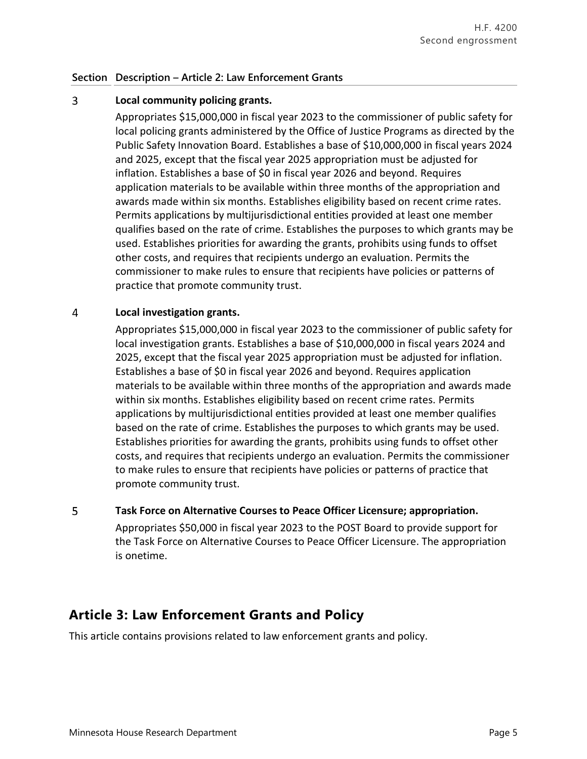### **Section Description – Article 2: Law Enforcement Grants**

#### $\overline{3}$ **Local community policing grants.**

Appropriates \$15,000,000 in fiscal year 2023 to the commissioner of public safety for local policing grants administered by the Office of Justice Programs as directed by the Public Safety Innovation Board. Establishes a base of \$10,000,000 in fiscal years 2024 and 2025, except that the fiscal year 2025 appropriation must be adjusted for inflation. Establishes a base of \$0 in fiscal year 2026 and beyond. Requires application materials to be available within three months of the appropriation and awards made within six months. Establishes eligibility based on recent crime rates. Permits applications by multijurisdictional entities provided at least one member qualifies based on the rate of crime. Establishes the purposes to which grants may be used. Establishes priorities for awarding the grants, prohibits using funds to offset other costs, and requires that recipients undergo an evaluation. Permits the commissioner to make rules to ensure that recipients have policies or patterns of practice that promote community trust.

#### 4 **Local investigation grants.**

Appropriates \$15,000,000 in fiscal year 2023 to the commissioner of public safety for local investigation grants. Establishes a base of \$10,000,000 in fiscal years 2024 and 2025, except that the fiscal year 2025 appropriation must be adjusted for inflation. Establishes a base of \$0 in fiscal year 2026 and beyond. Requires application materials to be available within three months of the appropriation and awards made within six months. Establishes eligibility based on recent crime rates. Permits applications by multijurisdictional entities provided at least one member qualifies based on the rate of crime. Establishes the purposes to which grants may be used. Establishes priorities for awarding the grants, prohibits using funds to offset other costs, and requires that recipients undergo an evaluation. Permits the commissioner to make rules to ensure that recipients have policies or patterns of practice that promote community trust.

5 **Task Force on Alternative Courses to Peace Officer Licensure; appropriation.** Appropriates \$50,000 in fiscal year 2023 to the POST Board to provide support for the Task Force on Alternative Courses to Peace Officer Licensure. The appropriation is onetime.

## **Article 3: Law Enforcement Grants and Policy**

This article contains provisions related to law enforcement grants and policy.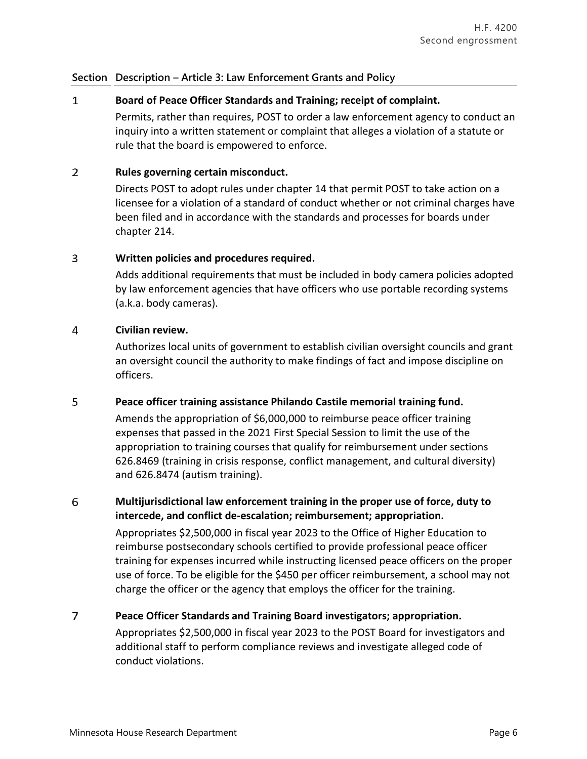### **Section Description – Article 3: Law Enforcement Grants and Policy**

#### $\mathbf{1}$ **Board of Peace Officer Standards and Training; receipt of complaint.**

Permits, rather than requires, POST to order a law enforcement agency to conduct an inquiry into a written statement or complaint that alleges a violation of a statute or rule that the board is empowered to enforce.

#### $\overline{2}$ **Rules governing certain misconduct.**

Directs POST to adopt rules under chapter 14 that permit POST to take action on a licensee for a violation of a standard of conduct whether or not criminal charges have been filed and in accordance with the standards and processes for boards under chapter 214.

#### 3 **Written policies and procedures required.**

Adds additional requirements that must be included in body camera policies adopted by law enforcement agencies that have officers who use portable recording systems (a.k.a. body cameras).

#### $\overline{4}$ **Civilian review.**

Authorizes local units of government to establish civilian oversight councils and grant an oversight council the authority to make findings of fact and impose discipline on officers.

#### 5 **Peace officer training assistance Philando Castile memorial training fund.**

Amends the appropriation of \$6,000,000 to reimburse peace officer training expenses that passed in the 2021 First Special Session to limit the use of the appropriation to training courses that qualify for reimbursement under sections 626.8469 (training in crisis response, conflict management, and cultural diversity) and 626.8474 (autism training).

### 6 **Multijurisdictional law enforcement training in the proper use of force, duty to intercede, and conflict de-escalation; reimbursement; appropriation.**

Appropriates \$2,500,000 in fiscal year 2023 to the Office of Higher Education to reimburse postsecondary schools certified to provide professional peace officer training for expenses incurred while instructing licensed peace officers on the proper use of force. To be eligible for the \$450 per officer reimbursement, a school may not charge the officer or the agency that employs the officer for the training.

#### $\overline{7}$ **Peace Officer Standards and Training Board investigators; appropriation.**

Appropriates \$2,500,000 in fiscal year 2023 to the POST Board for investigators and additional staff to perform compliance reviews and investigate alleged code of conduct violations.